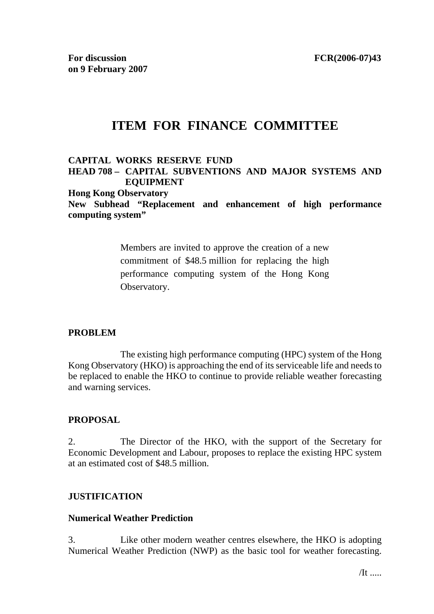# **ITEM FOR FINANCE COMMITTEE**

#### **CAPITAL WORKS RESERVE FUND HEAD 708 – CAPITAL SUBVENTIONS AND MAJOR SYSTEMS AND EQUIPMENT**

**Hong Kong Observatory** 

**New Subhead "Replacement and enhancement of high performance computing system"** 

> Members are invited to approve the creation of a new commitment of \$48.5 million for replacing the high performance computing system of the Hong Kong Observatory.

#### **PROBLEM**

 The existing high performance computing (HPC) system of the Hong Kong Observatory (HKO) is approaching the end of its serviceable life and needs to be replaced to enable the HKO to continue to provide reliable weather forecasting and warning services.

#### **PROPOSAL**

2. The Director of the HKO, with the support of the Secretary for Economic Development and Labour, proposes to replace the existing HPC system at an estimated cost of \$48.5 million.

#### **JUSTIFICATION**

#### **Numerical Weather Prediction**

3. Like other modern weather centres elsewhere, the HKO is adopting Numerical Weather Prediction (NWP) as the basic tool for weather forecasting.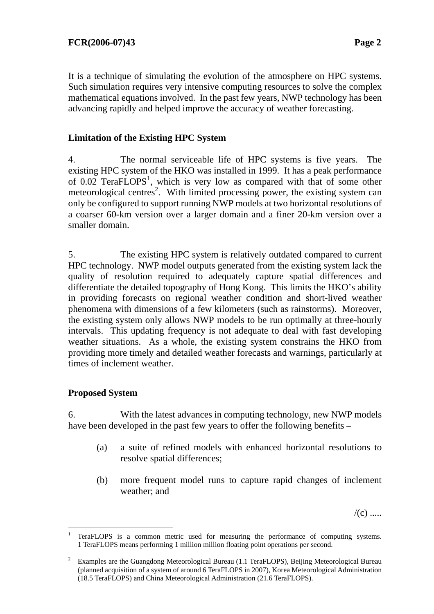It is a technique of simulating the evolution of the atmosphere on HPC systems. Such simulation requires very intensive computing resources to solve the complex mathematical equations involved. In the past few years, NWP technology has been advancing rapidly and helped improve the accuracy of weather forecasting.

### **Limitation of the Existing HPC System**

4. The normal serviceable life of HPC systems is five years. The existing HPC system of the HKO was installed in 1999. It has a peak performance of  $0.02$  TeraFLOPS<sup>1</sup>, which is very low as compared with that of some other meteorological centres<sup>2</sup>. With limited processing power, the existing system can only be configured to support running NWP models at two horizontal resolutions of a coarser 60-km version over a larger domain and a finer 20-km version over a smaller domain.

5. The existing HPC system is relatively outdated compared to current HPC technology. NWP model outputs generated from the existing system lack the quality of resolution required to adequately capture spatial differences and differentiate the detailed topography of Hong Kong. This limits the HKO's ability in providing forecasts on regional weather condition and short-lived weather phenomena with dimensions of a few kilometers (such as rainstorms). Moreover, the existing system only allows NWP models to be run optimally at three-hourly intervals. This updating frequency is not adequate to deal with fast developing weather situations. As a whole, the existing system constrains the HKO from providing more timely and detailed weather forecasts and warnings, particularly at times of inclement weather.

#### **Proposed System**

6. With the latest advances in computing technology, new NWP models have been developed in the past few years to offer the following benefits –

- (a) a suite of refined models with enhanced horizontal resolutions to resolve spatial differences;
- (b) more frequent model runs to capture rapid changes of inclement weather; and

 $/(c)$  .....

 <sup>1</sup> TeraFLOPS is a common metric used for measuring the performance of computing systems. 1 TeraFLOPS means performing 1 million million floating point operations per second.

<sup>2</sup> Examples are the Guangdong Meteorological Bureau (1.1 TeraFLOPS), Beijing Meteorological Bureau (planned acquisition of a system of around 6 TeraFLOPS in 2007), Korea Meteorological Administration (18.5 TeraFLOPS) and China Meteorological Administration (21.6 TeraFLOPS).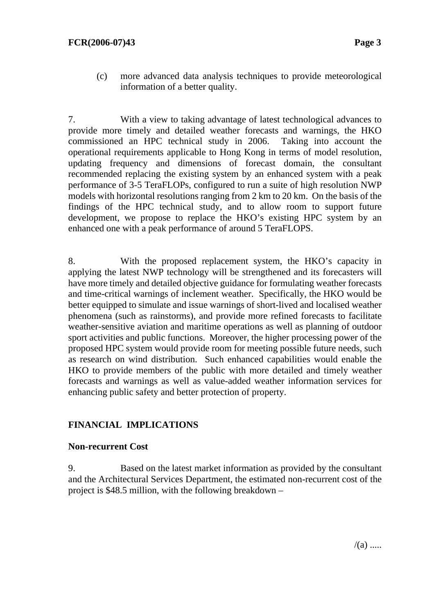(c) more advanced data analysis techniques to provide meteorological information of a better quality.

7. With a view to taking advantage of latest technological advances to provide more timely and detailed weather forecasts and warnings, the HKO commissioned an HPC technical study in 2006. Taking into account the operational requirements applicable to Hong Kong in terms of model resolution, updating frequency and dimensions of forecast domain, the consultant recommended replacing the existing system by an enhanced system with a peak performance of 3-5 TeraFLOPs, configured to run a suite of high resolution NWP models with horizontal resolutions ranging from 2 km to 20 km. On the basis of the findings of the HPC technical study, and to allow room to support future development, we propose to replace the HKO's existing HPC system by an enhanced one with a peak performance of around 5 TeraFLOPS.

8. With the proposed replacement system, the HKO's capacity in applying the latest NWP technology will be strengthened and its forecasters will have more timely and detailed objective guidance for formulating weather forecasts and time-critical warnings of inclement weather. Specifically, the HKO would be better equipped to simulate and issue warnings of short-lived and localised weather phenomena (such as rainstorms), and provide more refined forecasts to facilitate weather-sensitive aviation and maritime operations as well as planning of outdoor sport activities and public functions. Moreover, the higher processing power of the proposed HPC system would provide room for meeting possible future needs, such as research on wind distribution. Such enhanced capabilities would enable the HKO to provide members of the public with more detailed and timely weather forecasts and warnings as well as value-added weather information services for enhancing public safety and better protection of property.

# **FINANCIAL IMPLICATIONS**

#### **Non-recurrent Cost**

9. Based on the latest market information as provided by the consultant and the Architectural Services Department, the estimated non-recurrent cost of the project is \$48.5 million, with the following breakdown –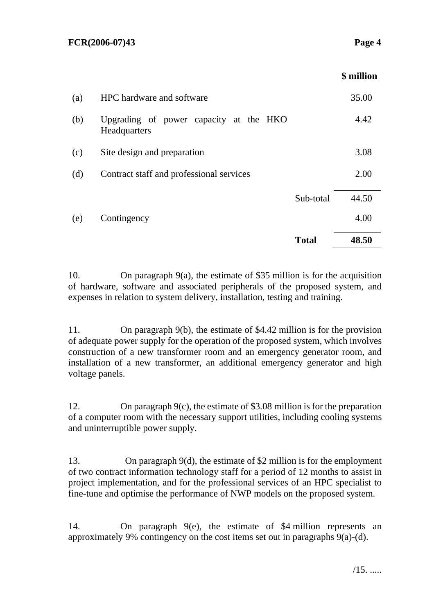|     |                                                        |              | \$ million |
|-----|--------------------------------------------------------|--------------|------------|
| (a) | HPC hardware and software                              |              | 35.00      |
| (b) | Upgrading of power capacity at the HKO<br>Headquarters |              | 4.42       |
| (c) | Site design and preparation                            |              | 3.08       |
| (d) | Contract staff and professional services               |              | 2.00       |
|     |                                                        | Sub-total    | 44.50      |
| (e) | Contingency                                            |              | 4.00       |
|     |                                                        | <b>Total</b> | 48.50      |
|     |                                                        |              |            |

10. On paragraph 9(a), the estimate of \$35 million is for the acquisition of hardware, software and associated peripherals of the proposed system, and expenses in relation to system delivery, installation, testing and training.

11. On paragraph 9(b), the estimate of \$4.42 million is for the provision of adequate power supply for the operation of the proposed system, which involves construction of a new transformer room and an emergency generator room, and installation of a new transformer, an additional emergency generator and high voltage panels.

12. On paragraph 9(c), the estimate of \$3.08 million is for the preparation of a computer room with the necessary support utilities, including cooling systems and uninterruptible power supply.

13. On paragraph 9(d), the estimate of \$2 million is for the employment of two contract information technology staff for a period of 12 months to assist in project implementation, and for the professional services of an HPC specialist to fine-tune and optimise the performance of NWP models on the proposed system.

14. On paragraph 9(e), the estimate of \$4 million represents an approximately 9% contingency on the cost items set out in paragraphs 9(a)-(d).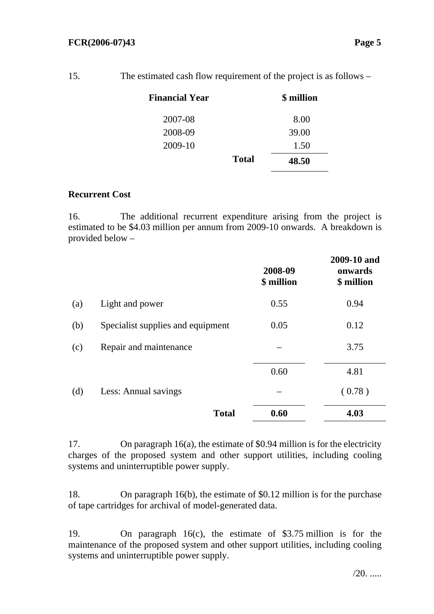| Financial Year | \$ million   |       |
|----------------|--------------|-------|
| 2007-08        |              | 8.00  |
| 2008-09        |              | 39.00 |
| 2009-10        |              | 1.50  |
|                | <b>Total</b> | 48.50 |

#### **Recurrent Cost**

16. The additional recurrent expenditure arising from the project is estimated to be \$4.03 million per annum from 2009-10 onwards. A breakdown is provided below –

|     |                                   | 2008-09<br>\$ million | 2009-10 and<br>onwards<br>\$ million |
|-----|-----------------------------------|-----------------------|--------------------------------------|
| (a) | Light and power                   | 0.55                  | 0.94                                 |
| (b) | Specialist supplies and equipment | 0.05                  | 0.12                                 |
| (c) | Repair and maintenance            |                       | 3.75                                 |
|     |                                   | 0.60                  | 4.81                                 |
| (d) | Less: Annual savings              |                       | (0.78)                               |
|     | <b>Total</b>                      | 0.60                  | 4.03                                 |

17. On paragraph 16(a), the estimate of \$0.94 million is for the electricity charges of the proposed system and other support utilities, including cooling systems and uninterruptible power supply.

18. On paragraph 16(b), the estimate of \$0.12 million is for the purchase of tape cartridges for archival of model-generated data.

19. On paragraph 16(c), the estimate of \$3.75 million is for the maintenance of the proposed system and other support utilities, including cooling systems and uninterruptible power supply.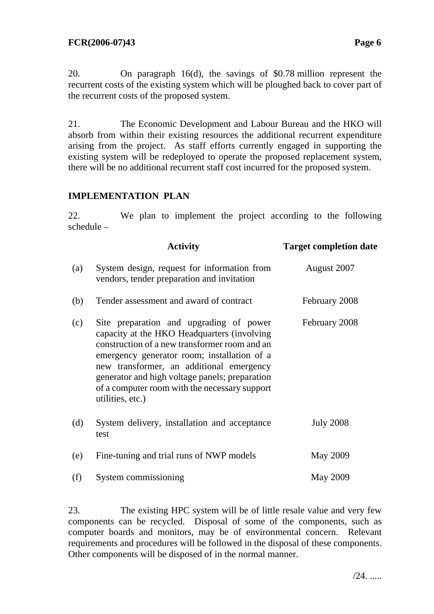20. On paragraph 16(d), the savings of \$0.78 million represent the recurrent costs of the existing system which will be ploughed back to cover part of the recurrent costs of the proposed system.

21. The Economic Development and Labour Bureau and the HKO will absorb from within their existing resources the additional recurrent expenditure arising from the project. As staff efforts currently engaged in supporting the existing system will be redeployed to operate the proposed replacement system, there will be no additional recurrent staff cost incurred for the proposed system.

## **IMPLEMENTATION PLAN**

22. We plan to implement the project according to the following schedule –

|     | <b>Activity</b>                                                                                                                                                                                                                                                                                                                                           | <b>Target completion date</b> |
|-----|-----------------------------------------------------------------------------------------------------------------------------------------------------------------------------------------------------------------------------------------------------------------------------------------------------------------------------------------------------------|-------------------------------|
| (a) | System design, request for information from<br>vendors, tender preparation and invitation                                                                                                                                                                                                                                                                 | August 2007                   |
| (b) | Tender assessment and award of contract                                                                                                                                                                                                                                                                                                                   | February 2008                 |
| (c) | Site preparation and upgrading of power<br>capacity at the HKO Headquarters (involving<br>construction of a new transformer room and an<br>emergency generator room; installation of a<br>new transformer, an additional emergency<br>generator and high voltage panels; preparation<br>of a computer room with the necessary support<br>utilities, etc.) | February 2008                 |
| (d) | System delivery, installation and acceptance<br>test                                                                                                                                                                                                                                                                                                      | <b>July 2008</b>              |
| (e) | Fine-tuning and trial runs of NWP models                                                                                                                                                                                                                                                                                                                  | May 2009                      |
| (f) | System commissioning                                                                                                                                                                                                                                                                                                                                      | May 2009                      |

23. The existing HPC system will be of little resale value and very few components can be recycled. Disposal of some of the components, such as computer boards and monitors, may be of environmental concern. Relevant requirements and procedures will be followed in the disposal of these components. Other components will be disposed of in the normal manner.